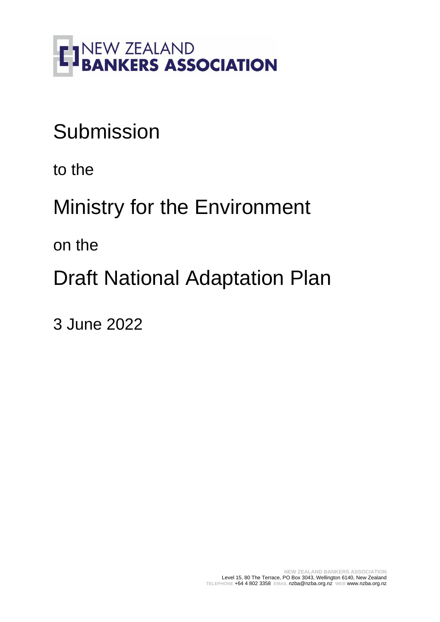

# **Submission**

to the

Ministry for the Environment

on the

Draft National Adaptation Plan

3 June 2022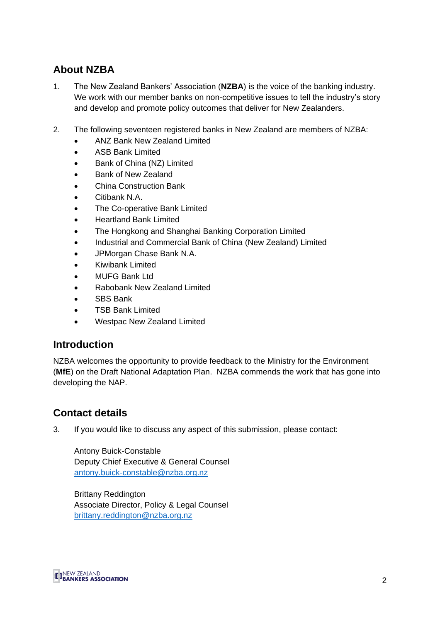# **About NZBA**

- 1. The New Zealand Bankers' Association (**NZBA**) is the voice of the banking industry. We work with our member banks on non-competitive issues to tell the industry's story and develop and promote policy outcomes that deliver for New Zealanders.
- 2. The following seventeen registered banks in New Zealand are members of NZBA:
	- ANZ Bank New Zealand Limited
	- ASB Bank Limited
	- Bank of China (NZ) Limited
	- Bank of New Zealand
	- China Construction Bank
	- Citibank N.A.
	- The Co-operative Bank Limited
	- Heartland Bank Limited
	- The Hongkong and Shanghai Banking Corporation Limited
	- Industrial and Commercial Bank of China (New Zealand) Limited
	- JPMorgan Chase Bank N.A.
	- Kiwibank Limited
	- MUFG Bank Ltd
	- Rabobank New Zealand Limited
	- SBS Bank
	- TSB Bank Limited
	- Westpac New Zealand Limited

### **Introduction**

NZBA welcomes the opportunity to provide feedback to the Ministry for the Environment (**MfE**) on the Draft National Adaptation Plan. NZBA commends the work that has gone into developing the NAP.

# **Contact details**

3. If you would like to discuss any aspect of this submission, please contact:

Antony Buick-Constable Deputy Chief Executive & General Counsel [antony.buick-constable@nzba.org.nz](mailto:antony.buick-constable@nzba.org.nz)

Brittany Reddington Associate Director, Policy & Legal Counsel [brittany.reddington@nzba.org.nz](mailto:olivia.bouchier@nzba.org.nz) 

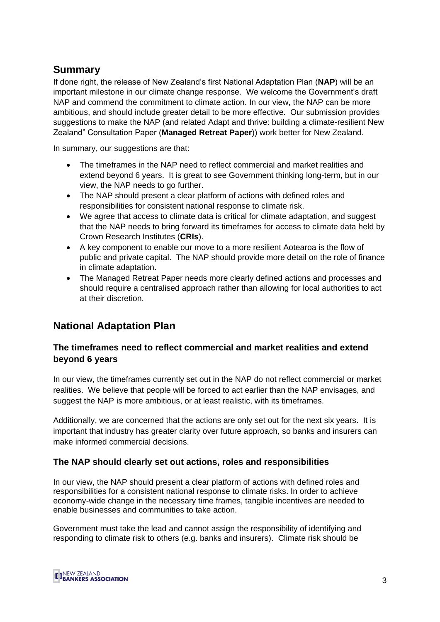## **Summary**

If done right, the release of New Zealand's first National Adaptation Plan (**NAP**) will be an important milestone in our climate change response. We welcome the Government's draft NAP and commend the commitment to climate action. In our view, the NAP can be more ambitious, and should include greater detail to be more effective. Our submission provides suggestions to make the NAP (and related Adapt and thrive: building a climate-resilient New Zealand" Consultation Paper (**Managed Retreat Paper**)) work better for New Zealand.

In summary, our suggestions are that:

- The timeframes in the NAP need to reflect commercial and market realities and extend beyond 6 years. It is great to see Government thinking long-term, but in our view, the NAP needs to go further.
- The NAP should present a clear platform of actions with defined roles and responsibilities for consistent national response to climate risk.
- We agree that access to climate data is critical for climate adaptation, and suggest that the NAP needs to bring forward its timeframes for access to climate data held by Crown Research Institutes (**CRIs**).
- A key component to enable our move to a more resilient Aotearoa is the flow of public and private capital. The NAP should provide more detail on the role of finance in climate adaptation.
- The Managed Retreat Paper needs more clearly defined actions and processes and should require a centralised approach rather than allowing for local authorities to act at their discretion.

# **National Adaptation Plan**

#### **The timeframes need to reflect commercial and market realities and extend beyond 6 years**

In our view, the timeframes currently set out in the NAP do not reflect commercial or market realities. We believe that people will be forced to act earlier than the NAP envisages, and suggest the NAP is more ambitious, or at least realistic, with its timeframes.

Additionally, we are concerned that the actions are only set out for the next six years. It is important that industry has greater clarity over future approach, so banks and insurers can make informed commercial decisions.

#### **The NAP should clearly set out actions, roles and responsibilities**

In our view, the NAP should present a clear platform of actions with defined roles and responsibilities for a consistent national response to climate risks. In order to achieve economy-wide change in the necessary time frames, tangible incentives are needed to enable businesses and communities to take action.

Government must take the lead and cannot assign the responsibility of identifying and responding to climate risk to others (e.g. banks and insurers). Climate risk should be

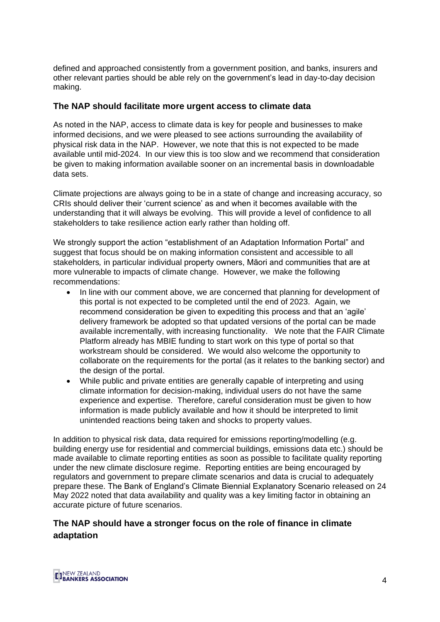defined and approached consistently from a government position, and banks, insurers and other relevant parties should be able rely on the government's lead in day-to-day decision making.

#### **The NAP should facilitate more urgent access to climate data**

As noted in the NAP, access to climate data is key for people and businesses to make informed decisions, and we were pleased to see actions surrounding the availability of physical risk data in the NAP. However, we note that this is not expected to be made available until mid-2024. In our view this is too slow and we recommend that consideration be given to making information available sooner on an incremental basis in downloadable data sets.

Climate projections are always going to be in a state of change and increasing accuracy, so CRIs should deliver their 'current science' as and when it becomes available with the understanding that it will always be evolving. This will provide a level of confidence to all stakeholders to take resilience action early rather than holding off.

We strongly support the action "establishment of an Adaptation Information Portal" and suggest that focus should be on making information consistent and accessible to all stakeholders*,* in particular individual property owners, Māori and communities that are at more vulnerable to impacts of climate change. However, we make the following recommendations:

- In line with our comment above, we are concerned that planning for development of this portal is not expected to be completed until the end of 2023. Again, we recommend consideration be given to expediting this process and that an 'agile' delivery framework be adopted so that updated versions of the portal can be made available incrementally, with increasing functionality. We note that the FAIR Climate Platform already has MBIE funding to start work on this type of portal so that workstream should be considered. We would also welcome the opportunity to collaborate on the requirements for the portal (as it relates to the banking sector) and the design of the portal.
- While public and private entities are generally capable of interpreting and using climate information for decision-making, individual users do not have the same experience and expertise. Therefore, careful consideration must be given to how information is made publicly available and how it should be interpreted to limit unintended reactions being taken and shocks to property values.

In addition to physical risk data, data required for emissions reporting/modelling (e.g. building energy use for residential and commercial buildings, emissions data etc.) should be made available to climate reporting entities as soon as possible to facilitate quality reporting under the new climate disclosure regime. Reporting entities are being encouraged by regulators and government to prepare climate scenarios and data is crucial to adequately prepare these. The Bank of England's Climate Biennial Explanatory Scenario released on 24 May 2022 noted that data availability and quality was a key limiting factor in obtaining an accurate picture of future scenarios.

#### **The NAP should have a stronger focus on the role of finance in climate adaptation**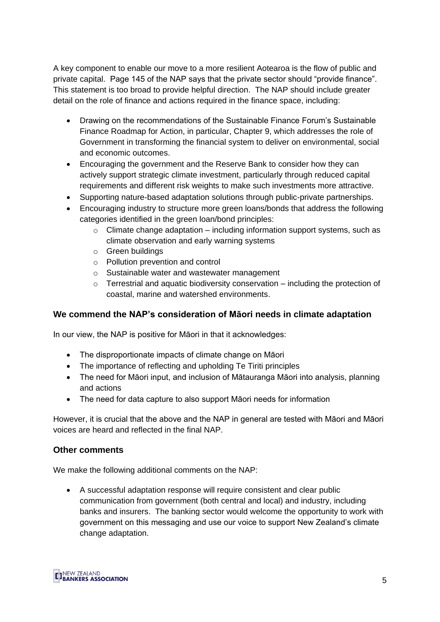A key component to enable our move to a more resilient Aotearoa is the flow of public and private capital. Page 145 of the NAP says that the private sector should "provide finance". This statement is too broad to provide helpful direction. The NAP should include greater detail on the role of finance and actions required in the finance space, including:

- Drawing on the recommendations of the Sustainable Finance Forum's Sustainable Finance Roadmap for Action, in particular, Chapter 9, which addresses the role of Government in transforming the financial system to deliver on environmental, social and economic outcomes.
- Encouraging the government and the Reserve Bank to consider how they can actively support strategic climate investment, particularly through reduced capital requirements and different risk weights to make such investments more attractive.
- Supporting nature-based adaptation solutions through public-private partnerships.
- Encouraging industry to structure more green loans/bonds that address the following categories identified in the green loan/bond principles:
	- $\circ$  Climate change adaptation including information support systems, such as climate observation and early warning systems
	- o Green buildings
	- o Pollution prevention and control
	- o Sustainable water and wastewater management
	- $\circ$  Terrestrial and aquatic biodiversity conservation including the protection of coastal, marine and watershed environments.

#### **We commend the NAP's consideration of Māori needs in climate adaptation**

In our view, the NAP is positive for Māori in that it acknowledges:

- The disproportionate impacts of climate change on Māori
- The importance of reflecting and upholding Te Tiriti principles
- The need for Māori input, and inclusion of Mātauranga Māori into analysis, planning and actions
- The need for data capture to also support Māori needs for information

However, it is crucial that the above and the NAP in general are tested with Māori and Māori voices are heard and reflected in the final NAP.

#### **Other comments**

We make the following additional comments on the NAP:

• A successful adaptation response will require consistent and clear public communication from government (both central and local) and industry, including banks and insurers. The banking sector would welcome the opportunity to work with government on this messaging and use our voice to support New Zealand's climate change adaptation.

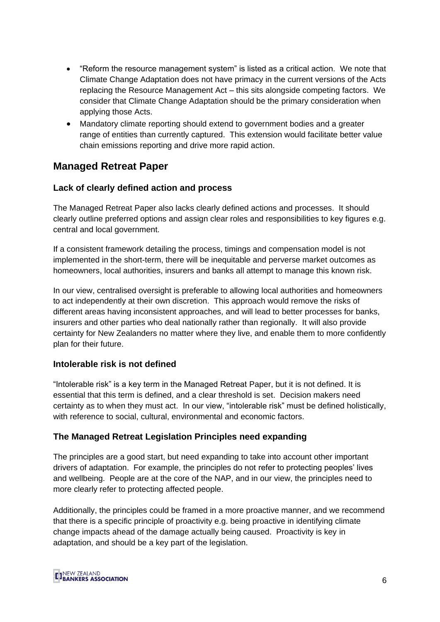- "Reform the resource management system" is listed as a critical action. We note that Climate Change Adaptation does not have primacy in the current versions of the Acts replacing the Resource Management Act – this sits alongside competing factors. We consider that Climate Change Adaptation should be the primary consideration when applying those Acts.
- Mandatory climate reporting should extend to government bodies and a greater range of entities than currently captured. This extension would facilitate better value chain emissions reporting and drive more rapid action.

## **Managed Retreat Paper**

#### **Lack of clearly defined action and process**

The Managed Retreat Paper also lacks clearly defined actions and processes. It should clearly outline preferred options and assign clear roles and responsibilities to key figures e.g. central and local government.

If a consistent framework detailing the process, timings and compensation model is not implemented in the short-term, there will be inequitable and perverse market outcomes as homeowners, local authorities, insurers and banks all attempt to manage this known risk.

In our view, centralised oversight is preferable to allowing local authorities and homeowners to act independently at their own discretion. This approach would remove the risks of different areas having inconsistent approaches, and will lead to better processes for banks, insurers and other parties who deal nationally rather than regionally. It will also provide certainty for New Zealanders no matter where they live, and enable them to more confidently plan for their future.

#### **Intolerable risk is not defined**

"Intolerable risk" is a key term in the Managed Retreat Paper, but it is not defined. It is essential that this term is defined, and a clear threshold is set. Decision makers need certainty as to when they must act. In our view, "intolerable risk" must be defined holistically, with reference to social, cultural, environmental and economic factors.

#### **The Managed Retreat Legislation Principles need expanding**

The principles are a good start, but need expanding to take into account other important drivers of adaptation. For example, the principles do not refer to protecting peoples' lives and wellbeing. People are at the core of the NAP, and in our view, the principles need to more clearly refer to protecting affected people.

Additionally, the principles could be framed in a more proactive manner, and we recommend that there is a specific principle of proactivity e.g. being proactive in identifying climate change impacts ahead of the damage actually being caused. Proactivity is key in adaptation, and should be a key part of the legislation.